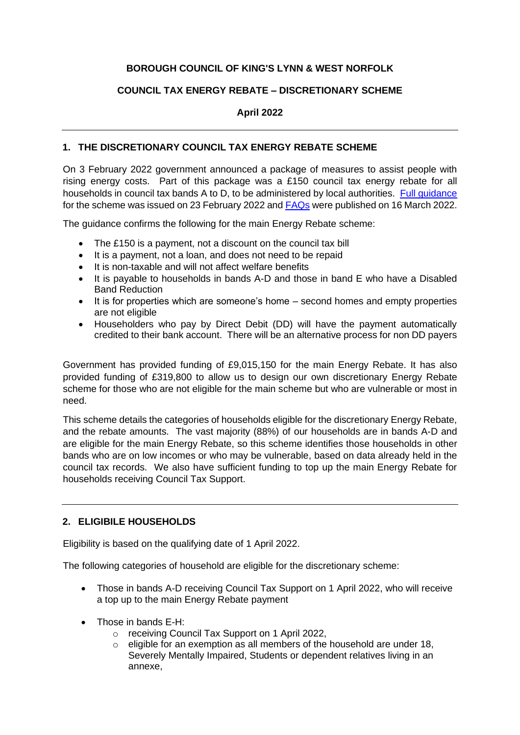# **BOROUGH COUNCIL OF KING'S LYNN & WEST NORFOLK**

## **COUNCIL TAX ENERGY REBATE – DISCRETIONARY SCHEME**

## **April 2022**

## **1. THE DISCRETIONARY COUNCIL TAX ENERGY REBATE SCHEME**

On 3 February 2022 government announced a package of measures to assist people with rising energy costs. Part of this package was a £150 council tax energy rebate for all households in council tax bands A to D, to be administered by local authorities. Full quidance for the scheme was issued on 23 February 2022 an[d FAQs](https://assets.publishing.service.gov.uk/government/uploads/system/uploads/attachment_data/file/1062222/220309_-_CTIL_Q_A_v2.pdf) were published on 16 March 2022.

The guidance confirms the following for the main Energy Rebate scheme:

- The £150 is a payment, not a discount on the council tax bill
- It is a payment, not a loan, and does not need to be repaid
- It is non-taxable and will not affect welfare benefits
- It is payable to households in bands A-D and those in band E who have a Disabled Band Reduction
- It is for properties which are someone's home second homes and empty properties are not eligible
- Householders who pay by Direct Debit (DD) will have the payment automatically credited to their bank account. There will be an alternative process for non DD payers

Government has provided funding of £9,015,150 for the main Energy Rebate. It has also provided funding of £319,800 to allow us to design our own discretionary Energy Rebate scheme for those who are not eligible for the main scheme but who are vulnerable or most in need.

This scheme details the categories of households eligible for the discretionary Energy Rebate, and the rebate amounts. The vast majority (88%) of our households are in bands A-D and are eligible for the main Energy Rebate, so this scheme identifies those households in other bands who are on low incomes or who may be vulnerable, based on data already held in the council tax records. We also have sufficient funding to top up the main Energy Rebate for households receiving Council Tax Support.

# **2. ELIGIBILE HOUSEHOLDS**

Eligibility is based on the qualifying date of 1 April 2022.

The following categories of household are eligible for the discretionary scheme:

- Those in bands A-D receiving Council Tax Support on 1 April 2022, who will receive a top up to the main Energy Rebate payment
- Those in bands E-H:
	- o receiving Council Tax Support on 1 April 2022,
	- $\circ$  eligible for an exemption as all members of the household are under 18. Severely Mentally Impaired, Students or dependent relatives living in an annexe,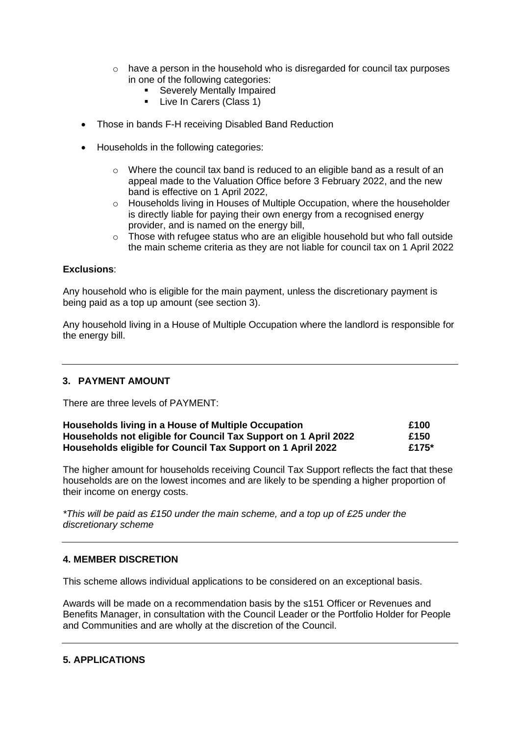- $\circ$  have a person in the household who is disregarded for council tax purposes in one of the following categories:
	- **EXECTED F** Severely Mentally Impaired
	- **•** Live In Carers (Class 1)
- Those in bands F-H receiving Disabled Band Reduction
- Households in the following categories:
	- o Where the council tax band is reduced to an eligible band as a result of an appeal made to the Valuation Office before 3 February 2022, and the new band is effective on 1 April 2022,
	- $\circ$  Households living in Houses of Multiple Occupation, where the householder is directly liable for paying their own energy from a recognised energy provider, and is named on the energy bill,
	- $\circ$  Those with refugee status who are an eligible household but who fall outside the main scheme criteria as they are not liable for council tax on 1 April 2022

#### **Exclusions**:

Any household who is eligible for the main payment, unless the discretionary payment is being paid as a top up amount (see section 3).

Any household living in a House of Multiple Occupation where the landlord is responsible for the energy bill.

## **3. PAYMENT AMOUNT**

There are three levels of PAYMENT:

| Households living in a House of Multiple Occupation<br>Households not eligible for Council Tax Support on 1 April 2022<br>Households eligible for Council Tax Support on 1 April 2022 | £100<br>£150<br>£175* |
|---------------------------------------------------------------------------------------------------------------------------------------------------------------------------------------|-----------------------|
|---------------------------------------------------------------------------------------------------------------------------------------------------------------------------------------|-----------------------|

The higher amount for households receiving Council Tax Support reflects the fact that these households are on the lowest incomes and are likely to be spending a higher proportion of their income on energy costs.

*\*This will be paid as £150 under the main scheme, and a top up of £25 under the discretionary scheme*

## **4. MEMBER DISCRETION**

This scheme allows individual applications to be considered on an exceptional basis.

Awards will be made on a recommendation basis by the s151 Officer or Revenues and Benefits Manager, in consultation with the Council Leader or the Portfolio Holder for People and Communities and are wholly at the discretion of the Council.

## **5. APPLICATIONS**